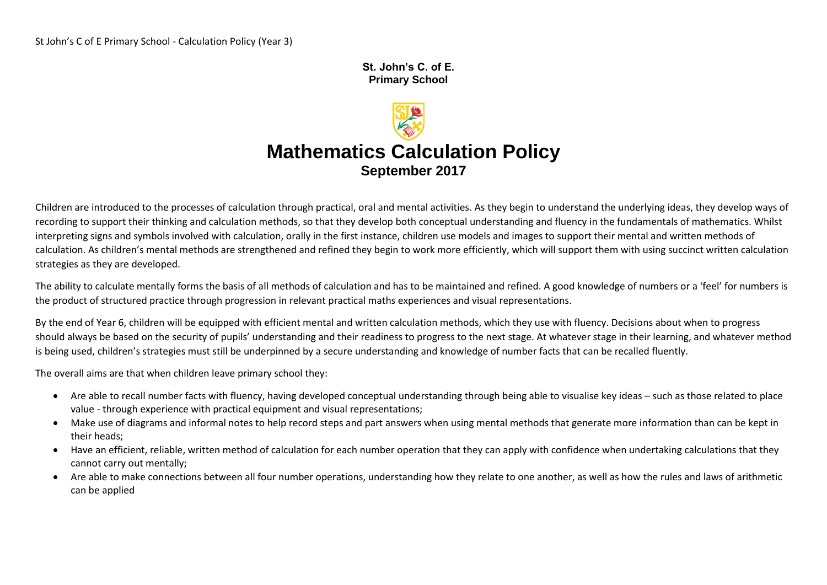#### **St. John's C. of E. Primary School**

# **Mathematics Calculation Policy September 2017**

Children are introduced to the processes of calculation through practical, oral and mental activities. As they begin to understand the underlying ideas, they develop ways of recording to support their thinking and calculation methods, so that they develop both conceptual understanding and fluency in the fundamentals of mathematics. Whilst interpreting signs and symbols involved with calculation, orally in the first instance, children use models and images to support their mental and written methods of calculation. As children's mental methods are strengthened and refined they begin to work more efficiently, which will support them with using succinct written calculation strategies as they are developed.

The ability to calculate mentally forms the basis of all methods of calculation and has to be maintained and refined. A good knowledge of numbers or a 'feel' for numbers is the product of structured practice through progression in relevant practical maths experiences and visual representations.

By the end of Year 6, children will be equipped with efficient mental and written calculation methods, which they use with fluency. Decisions about when to progress should always be based on the security of pupils' understanding and their readiness to progress to the next stage. At whatever stage in their learning, and whatever method is being used, children's strategies must still be underpinned by a secure understanding and knowledge of number facts that can be recalled fluently.

The overall aims are that when children leave primary school they:

- Are able to recall number facts with fluency, having developed conceptual understanding through being able to visualise key ideas such as those related to place value - through experience with practical equipment and visual representations;
- Make use of diagrams and informal notes to help record steps and part answers when using mental methods that generate more information than can be kept in their heads;
- Have an efficient, reliable, written method of calculation for each number operation that they can apply with confidence when undertaking calculations that they cannot carry out mentally;
- Are able to make connections between all four number operations, understanding how they relate to one another, as well as how the rules and laws of arithmetic can be applied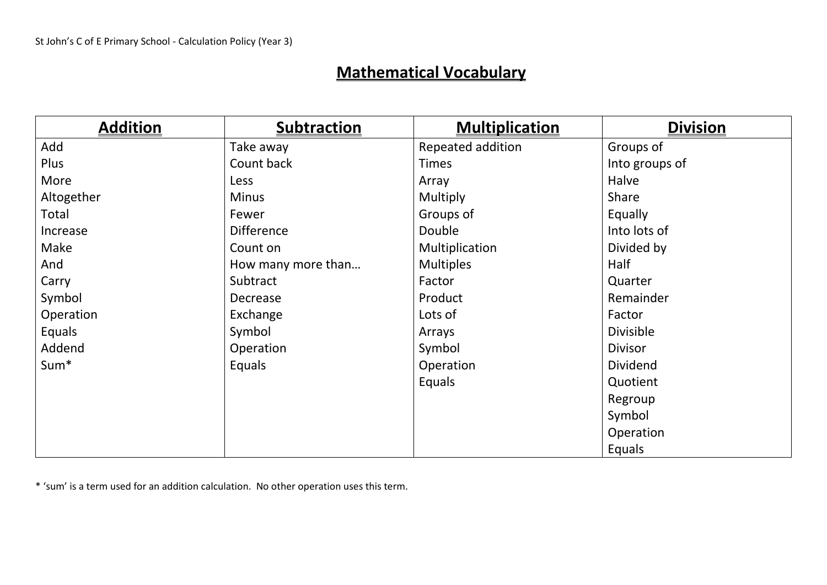# **Mathematical Vocabulary**

| <b>Addition</b>  | <b>Subtraction</b> | <b>Multiplication</b> | <b>Division</b> |
|------------------|--------------------|-----------------------|-----------------|
| Add              | Take away          | Repeated addition     | Groups of       |
| Plus             | Count back         | <b>Times</b>          | Into groups of  |
| More             | Less               | Array                 | Halve           |
| Altogether       | <b>Minus</b>       | Multiply              | Share           |
| Total            | Fewer              | Groups of             | Equally         |
| Increase         | <b>Difference</b>  | Double                | Into lots of    |
| Make             | Count on           | Multiplication        | Divided by      |
| And              | How many more than | <b>Multiples</b>      | Half            |
| Carry            | Subtract           | Factor                | Quarter         |
| Symbol           | Decrease           | Product               | Remainder       |
| Operation        | Exchange           | Lots of               | Factor          |
| Equals           | Symbol             | Arrays                | Divisible       |
| Addend           | Operation          | Symbol                | <b>Divisor</b>  |
| Sum <sup>*</sup> | Equals             | Operation             | <b>Dividend</b> |
|                  |                    | Equals                | Quotient        |
|                  |                    |                       | Regroup         |
|                  |                    |                       | Symbol          |
|                  |                    |                       | Operation       |
|                  |                    |                       | Equals          |

\* 'sum' is a term used for an addition calculation. No other operation uses this term.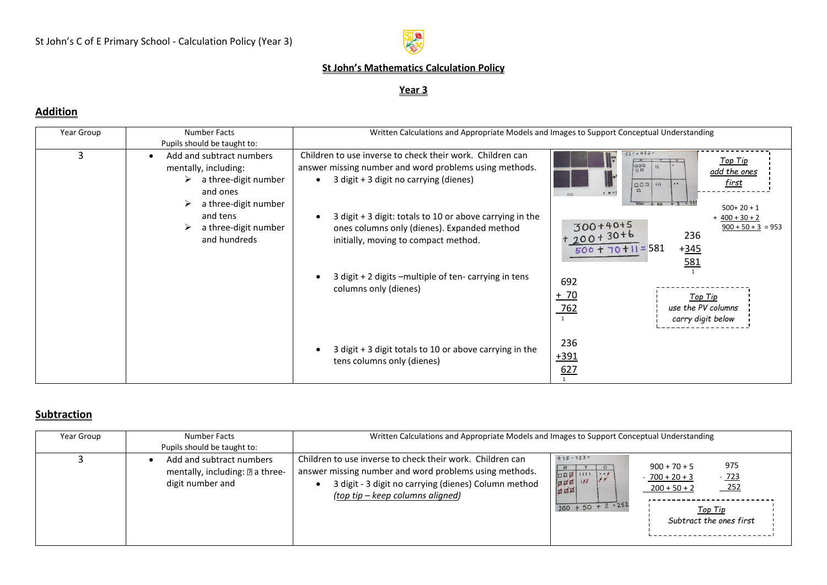

#### **St John's Mathematics Calculation Policy**

#### **Year 3**

### **Addition**

| Year Group | <b>Number Facts</b><br>Pupils should be taught to:                                                                                                                    | Written Calculations and Appropriate Models and Images to Support Conceptual Understanding                                                                                                                                                                                                                                                                                                        |                                                                                                                                                                                                                                                                                                                                                                                                   |
|------------|-----------------------------------------------------------------------------------------------------------------------------------------------------------------------|---------------------------------------------------------------------------------------------------------------------------------------------------------------------------------------------------------------------------------------------------------------------------------------------------------------------------------------------------------------------------------------------------|---------------------------------------------------------------------------------------------------------------------------------------------------------------------------------------------------------------------------------------------------------------------------------------------------------------------------------------------------------------------------------------------------|
| 3          | Add and subtract numbers<br>mentally, including:<br>a three-digit number<br>≻<br>and ones<br>a three-digit number<br>and tens<br>a three-digit number<br>and hundreds | Children to use inverse to check their work. Children can<br>answer missing number and word problems using methods.<br>3 digit + 3 digit no carrying (dienes)<br>3 digit + 3 digit: totals to 10 or above carrying in the<br>ones columns only (dienes). Expanded method<br>initially, moving to compact method.<br>3 digit + 2 digits -multiple of ten-carrying in tens<br>columns only (dienes) | $521 + 452 =$<br><u> Top Tip</u><br>1200<br>$\sqrt{a}$<br><u>add the ones</u><br><u>first</u><br> qq <br>$\bullet\bullet$<br>$+ 30 + ?$<br>500<br>900<br>$+ 3 = 95.$<br>$+50$<br>$500+20+1$<br>$+$ 400 + 30 + 2<br>$300+40+5$ $+200+30+6$<br>$\frac{900 + 50 + 3}{2} = 953$<br>236<br>$500 + 70 + 11 = 581$<br>$+345$<br>581<br>692<br>$+ 70$<br>Top Tip<br>$\frac{762}{1}$<br>use the PV columns |
|            |                                                                                                                                                                       | 3 digit + 3 digit totals to 10 or above carrying in the<br>tens columns only (dienes)                                                                                                                                                                                                                                                                                                             | carry digit below<br>236<br>$+391$<br>627                                                                                                                                                                                                                                                                                                                                                         |

#### **Subtraction**

| Year Group | Number Facts<br>Pupils should be taught to:                                     | Written Calculations and Appropriate Models and Images to Support Conceptual Understanding                                                                                                                      |                                                                                                                                                                                                                |
|------------|---------------------------------------------------------------------------------|-----------------------------------------------------------------------------------------------------------------------------------------------------------------------------------------------------------------|----------------------------------------------------------------------------------------------------------------------------------------------------------------------------------------------------------------|
|            | Add and subtract numbers<br>mentally, including: 2 a three-<br>digit number and | Children to use inverse to check their work. Children can<br>answer missing number and word problems using methods.<br>3 digit - 3 digit no carrying (dienes) Column method<br>(top tip – keep columns aligned) | $975 - 723 =$<br>975<br>$900 + 70 + 5$<br>$\circ$<br>口口口 1111 1.1<br>$-723$<br>$-700 + 20 + 3$<br> XX <br><b>ANA</b><br>$-252$<br>$200 + 50 + 2$<br>$200 + 50 + 2 = 252$<br>Top Tip<br>Subtract the ones first |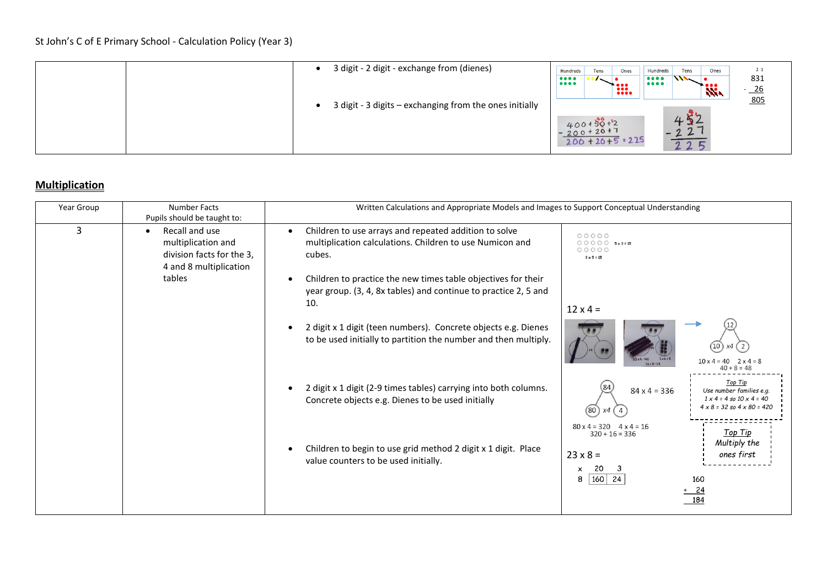| 3 digit - 2 digit - exchange from (dienes)              | 2 1<br>Hundreds<br>Tens<br>Ones<br>Ones<br>Tens<br><b>Hundreds</b><br>831<br>$\bullet\bullet\bullet\bullet$<br>$\frac{1}{10000}$<br>$\bullet\bullet\bullet\bullet$<br>':∷<br>$\frac{26}{1}$<br><b>Nie</b> |
|---------------------------------------------------------|-----------------------------------------------------------------------------------------------------------------------------------------------------------------------------------------------------------|
| 3 digit - 3 digits - exchanging from the ones initially | 805<br>452<br>$400+50+2$<br>-200+20+7<br>$-22$<br>$200 + 20 + 5 = 225$<br>225                                                                                                                             |

# **Multiplication**

| Year Group | Number Facts<br>Pupils should be taught to:                                                                        | Written Calculations and Appropriate Models and Images to Support Conceptual Understanding                                                                                                                                                                                                                                                                                                                                            |                                                                                                                                                                                                                                                                                |  |
|------------|--------------------------------------------------------------------------------------------------------------------|---------------------------------------------------------------------------------------------------------------------------------------------------------------------------------------------------------------------------------------------------------------------------------------------------------------------------------------------------------------------------------------------------------------------------------------|--------------------------------------------------------------------------------------------------------------------------------------------------------------------------------------------------------------------------------------------------------------------------------|--|
| 3          | Recall and use<br>$\bullet$<br>multiplication and<br>division facts for the 3,<br>4 and 8 multiplication<br>tables | Children to use arrays and repeated addition to solve<br>$\bullet$<br>multiplication calculations. Children to use Numicon and<br>cubes.<br>Children to practice the new times table objectives for their<br>year group. (3, 4, 8x tables) and continue to practice 2, 5 and<br>10.<br>2 digit x 1 digit (teen numbers). Concrete objects e.g. Dienes<br>$\bullet$<br>to be used initially to partition the number and then multiply. | 00000<br>$\bigcirc$ $\bigcirc$ $\bigcirc$ $\bigcirc$ 5x3=15<br>00000<br>$3 \times 5 = 15$<br>$12 \times 4 =$<br>$10^{\circ}$<br>$0x4 = 40$<br>2x4:8<br>$10 \times 4 = 40$ $2 \times 4 = 8$<br>$40 + 8 = 48$                                                                    |  |
|            |                                                                                                                    | 2 digit x 1 digit (2-9 times tables) carrying into both columns.<br>Concrete objects e.g. Dienes to be used initially<br>Children to begin to use grid method 2 digit x 1 digit. Place                                                                                                                                                                                                                                                | $40 + 8 = 48$<br>Top Tip<br>84<br>$84 \times 4 = 336$<br>Use number families e.g.<br>$1 \times 4 = 4$ so $10 \times 4 = 40$<br>$4 \times 8 = 32$ so $4 \times 80 = 420$<br>$(80)$ $x4$<br>$80 \times 4 = 320$ $4 \times 4 = 16$<br>Top Tip<br>$320 + 16 = 336$<br>Multiply the |  |
|            |                                                                                                                    | value counters to be used initially.                                                                                                                                                                                                                                                                                                                                                                                                  | $23 \times 8 =$<br>ones first<br>20<br>-3<br>$\boldsymbol{\mathsf{x}}$<br>$160$ 24<br>8<br>160<br>+ 24<br>184                                                                                                                                                                  |  |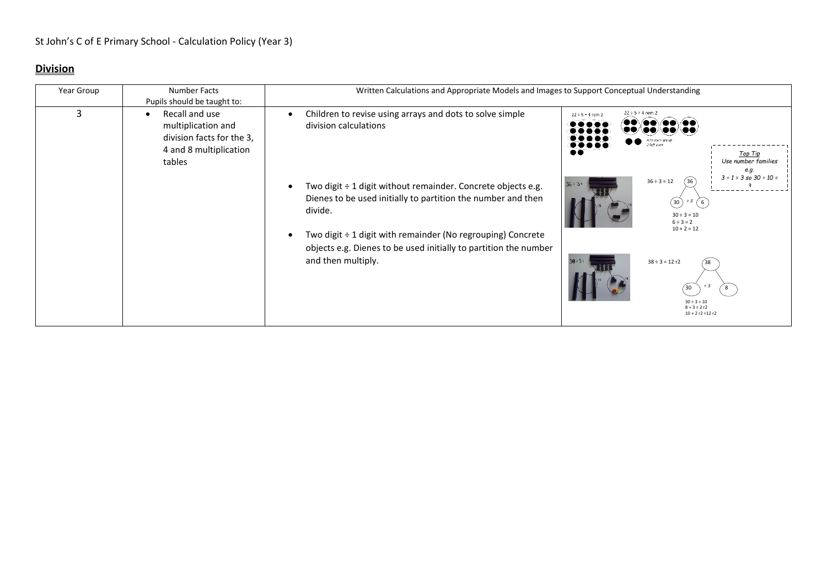# **Division**

| Year Group | Number Facts                                                                                                       | Written Calculations and Appropriate Models and Images to Support Conceptual Understanding                                                                                                                                                                                                                                                                                                 |                                                                                                                                                                                                                                                                                                                                                         |  |
|------------|--------------------------------------------------------------------------------------------------------------------|--------------------------------------------------------------------------------------------------------------------------------------------------------------------------------------------------------------------------------------------------------------------------------------------------------------------------------------------------------------------------------------------|---------------------------------------------------------------------------------------------------------------------------------------------------------------------------------------------------------------------------------------------------------------------------------------------------------------------------------------------------------|--|
|            | Pupils should be taught to:                                                                                        |                                                                                                                                                                                                                                                                                                                                                                                            |                                                                                                                                                                                                                                                                                                                                                         |  |
| 3          | Recall and use<br>$\bullet$<br>multiplication and<br>division facts for the 3,<br>4 and 8 multiplication<br>tables | Children to revise using arrays and dots to solve simple<br>division calculations<br>Two digit ÷ 1 digit without remainder. Concrete objects e.g.<br>Dienes to be used initially to partition the number and then<br>divide.<br>Two digit $\div$ 1 digit with remainder (No regrouping) Concrete<br>objects e.g. Dienes to be used initially to partition the number<br>and then multiply. | $22 \div 5 = 4$ rem 2<br>$22 \div 5 = 4$ rem 2<br>$\bullet\bullet$<br>Top Tip<br>Use number families<br>e.g.<br>$3 \div 1 = 3$ so $30 \div 10 =$<br>$36 \div 3 = 12$<br>36<br>$\frac{3}{5}$ (6)<br>(30)<br>$30 \div 3 = 10$<br>$6 \div 3 = 2$<br>$10 + 2 = 12$<br>$38 \div 3 = 12 r2$<br>38<br>$-3$<br>30<br>8<br>$30 \div 3 = 10$<br>$8 \div 3 = 2 r2$ |  |
|            |                                                                                                                    |                                                                                                                                                                                                                                                                                                                                                                                            | $10 + 2 r2 = 12 r2$                                                                                                                                                                                                                                                                                                                                     |  |